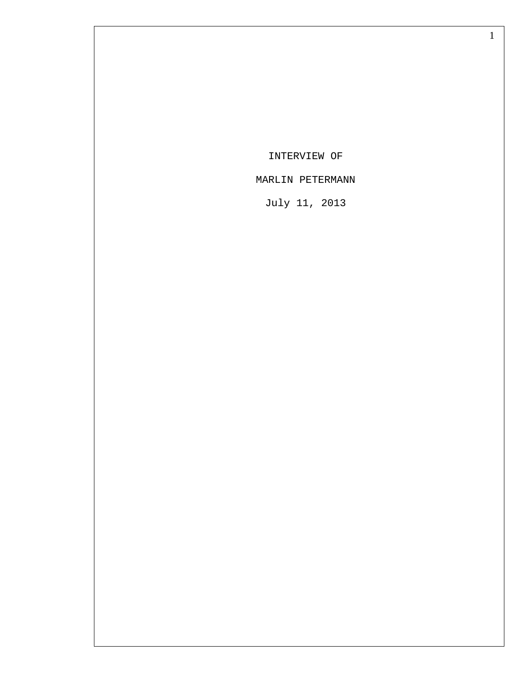INTERVIEW OF

## MARLIN PETERMANN

July 11, 2013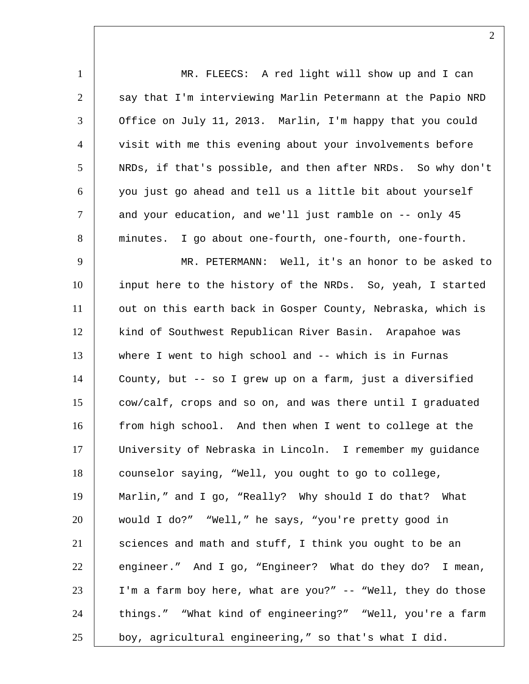1 MR. FLEECS: A red light will show up and I can 2 say that I'm interviewing Marlin Petermann at the Papio NRD 3 | Office on July 11, 2013. Marlin, I'm happy that you could 4 Visit with me this evening about your involvements before 5 NRDs, if that's possible, and then after NRDs. So why don't 6 you just go ahead and tell us a little bit about yourself 7 and your education, and we'll just ramble on -- only 45 8 minutes. I go about one-fourth, one-fourth, one-fourth. 9 MR. PETERMANN: Well, it's an honor to be asked to 10 input here to the history of the NRDs. So, yeah, I started 11 | out on this earth back in Gosper County, Nebraska, which is 12 | kind of Southwest Republican River Basin. Arapahoe was 13 where I went to high school and -- which is in Furnas 14 County, but -- so I grew up on a farm, just a diversified 15 cow/calf, crops and so on, and was there until I graduated 16 from high school. And then when I went to college at the 17 University of Nebraska in Lincoln. I remember my guidance 18 counselor saying, "Well, you ought to go to college, 19 Marlin," and I go, "Really? Why should I do that? What 20 would I do?" "Well," he says, "you're pretty good in 21 sciences and math and stuff, I think you ought to be an 22 engineer." And I go, "Engineer? What do they do? I mean, 23 I'm a farm boy here, what are you?" -- "Well, they do those 24 | things." "What kind of engineering?" "Well, you're a farm 25 boy, agricultural engineering," so that's what I did.

 $\mathcal{L}$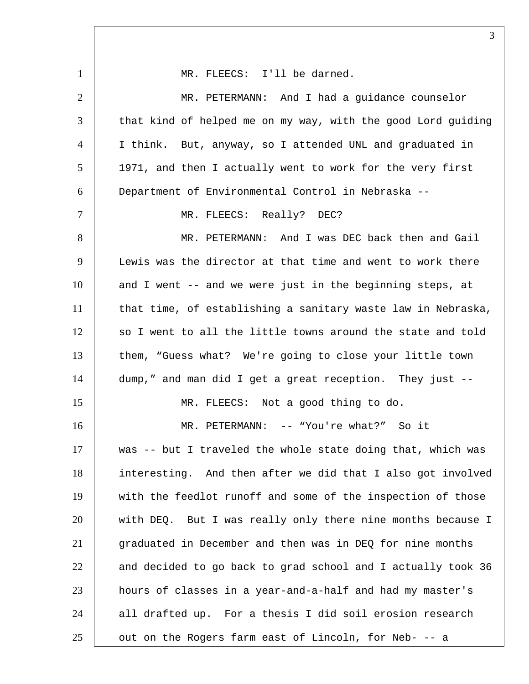1 | MR. FLEECS: I'll be darned. 2 MR. PETERMANN: And I had a guidance counselor 3 that kind of helped me on my way, with the good Lord guiding 4 I think. But, anyway, so I attended UNL and graduated in 5 | 1971, and then I actually went to work for the very first 6 Department of Environmental Control in Nebraska -- 7 | MR. FLEECS: Really? DEC? 8 MR. PETERMANN: And I was DEC back then and Gail 9 Lewis was the director at that time and went to work there 10 and I went -- and we were just in the beginning steps, at 11 | that time, of establishing a sanitary waste law in Nebraska, 12 so I went to all the little towns around the state and told 13 them, "Guess what? We're going to close your little town 14 dump," and man did I get a great reception. They just -- 15 | MR. FLEECS: Not a good thing to do. 16 MR. PETERMANN: -- "You're what?" So it 17 was -- but I traveled the whole state doing that, which was 18 interesting. And then after we did that I also got involved 19 with the feedlot runoff and some of the inspection of those 20 with DEQ. But I was really only there nine months because I 21 | graduated in December and then was in DEQ for nine months 22 and decided to go back to grad school and I actually took 36 23 hours of classes in a year-and-a-half and had my master's  $24$  all drafted up. For a thesis I did soil erosion research  $25$   $\vert$  out on the Rogers farm east of Lincoln, for Neb- -- a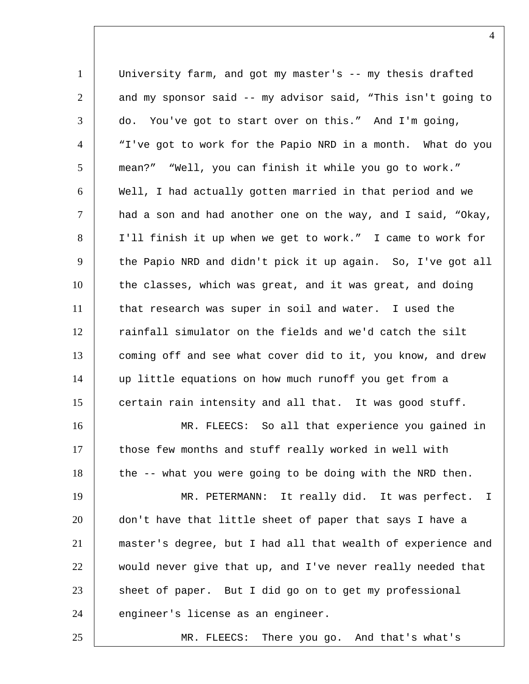1 University farm, and got my master's -- my thesis drafted 2 and my sponsor said -- my advisor said, "This isn't going to  $3$  do. You've got to start over on this." And I'm going, 4 "I've got to work for the Papio NRD in a month. What do you 5 mean?" "Well, you can finish it while you go to work." 6 Well, I had actually gotten married in that period and we  $7$   $|$  had a son and had another one on the way, and I said, "Okay, 8 I'll finish it up when we get to work." I came to work for 9 the Papio NRD and didn't pick it up again. So, I've got all 10 the classes, which was great, and it was great, and doing 11 that research was super in soil and water. I used the 12 rainfall simulator on the fields and we'd catch the silt 13 coming off and see what cover did to it, you know, and drew 14 up little equations on how much runoff you get from a 15 certain rain intensity and all that. It was good stuff. 16 MR. FLEECS: So all that experience you gained in 17 those few months and stuff really worked in well with 18 the -- what you were going to be doing with the NRD then. 19 | MR. PETERMANN: It really did. It was perfect. I 20 don't have that little sheet of paper that says I have a 21 master's degree, but I had all that wealth of experience and 22 would never give that up, and I've never really needed that 23 sheet of paper. But I did go on to get my professional 24 engineer's license as an engineer. 25 MR. FLEECS: There you go. And that's what's

 $\Delta$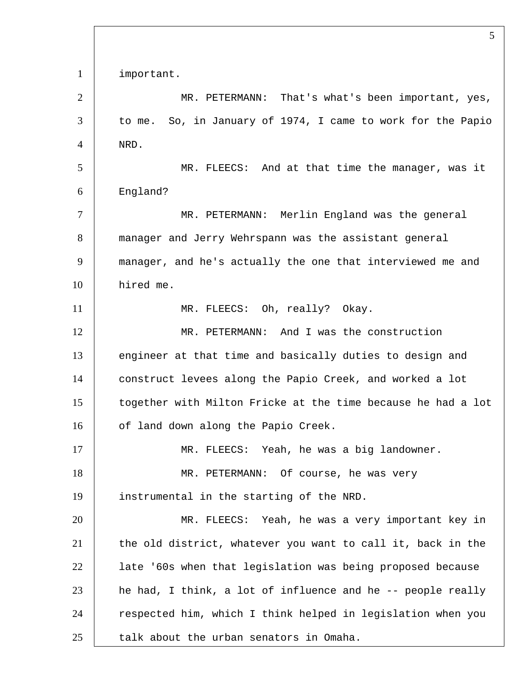important. 2 | MR. PETERMANN: That's what's been important, yes, 3 to me. So, in January of 1974, I came to work for the Papio NRD. MR. FLEECS: And at that time the manager, was it England? MR. PETERMANN: Merlin England was the general manager and Jerry Wehrspann was the assistant general manager, and he's actually the one that interviewed me and hired me. 11 | MR. FLEECS: Oh, really? Okay. MR. PETERMANN: And I was the construction 13 engineer at that time and basically duties to design and construct levees along the Papio Creek, and worked a lot together with Milton Fricke at the time because he had a lot 16 | of land down along the Papio Creek. MR. FLEECS: Yeah, he was a big landowner. MR. PETERMANN: Of course, he was very instrumental in the starting of the NRD. MR. FLEECS: Yeah, he was a very important key in 21 the old district, whatever you want to call it, back in the late '60s when that legislation was being proposed because he had, I think, a lot of influence and he  $-$  people really 24 | respected him, which I think helped in legislation when you talk about the urban senators in Omaha.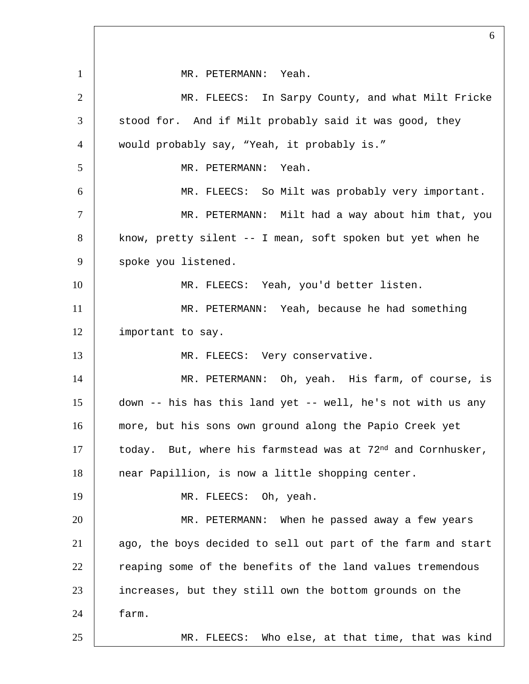MR. PETERMANN: Yeah. MR. FLEECS: In Sarpy County, and what Milt Fricke 3 | stood for. And if Milt probably said it was good, they would probably say, "Yeah, it probably is." MR. PETERMANN: Yeah. MR. FLEECS: So Milt was probably very important. 7 | MR. PETERMANN: Milt had a way about him that, you know, pretty silent -- I mean, soft spoken but yet when he 9 | spoke you listened. 10 | MR. FLEECS: Yeah, you'd better listen. MR. PETERMANN: Yeah, because he had something 12 | important to say. 13 MR. FLEECS: Very conservative. MR. PETERMANN: Oh, yeah. His farm, of course, is down -- his has this land yet -- well, he's not with us any more, but his sons own ground along the Papio Creek yet today. But, where his farmstead was at  $72<sup>nd</sup>$  and Cornhusker, 18 near Papillion, is now a little shopping center. 19 | MR. FLEECS: Oh, yeah. MR. PETERMANN: When he passed away a few years 21 ago, the boys decided to sell out part of the farm and start 22 reaping some of the benefits of the land values tremendous increases, but they still own the bottom grounds on the farm. MR. FLEECS: Who else, at that time, that was kind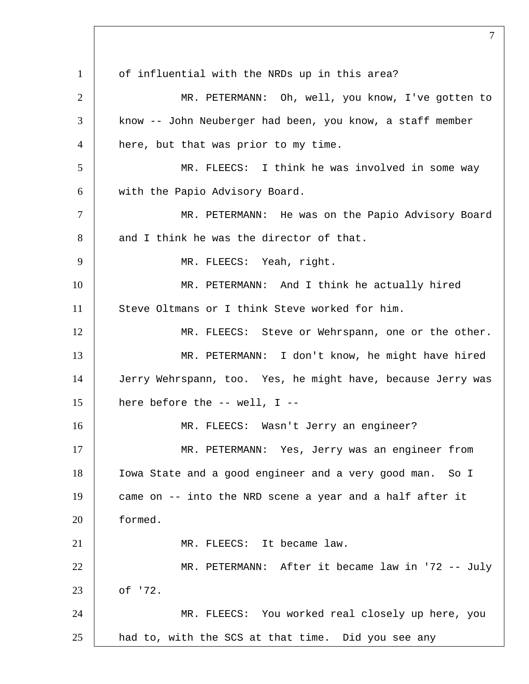1 of influential with the NRDs up in this area? MR. PETERMANN: Oh, well, you know, I've gotten to know -- John Neuberger had been, you know, a staff member 4 | here, but that was prior to my time. MR. FLEECS: I think he was involved in some way with the Papio Advisory Board. MR. PETERMANN: He was on the Papio Advisory Board 8 and I think he was the director of that. 9 MR. FLEECS: Yeah, right. MR. PETERMANN: And I think he actually hired Steve Oltmans or I think Steve worked for him. 12 | MR. FLEECS: Steve or Wehrspann, one or the other. MR. PETERMANN: I don't know, he might have hired Jerry Wehrspann, too. Yes, he might have, because Jerry was | here before the -- well, I -- MR. FLEECS: Wasn't Jerry an engineer? MR. PETERMANN: Yes, Jerry was an engineer from Iowa State and a good engineer and a very good man. So I came on -- into the NRD scene a year and a half after it formed. 21 | MR. FLEECS: It became law. MR. PETERMANN: After it became law in '72 -- July of '72. MR. FLEECS: You worked real closely up here, you had to, with the SCS at that time. Did you see any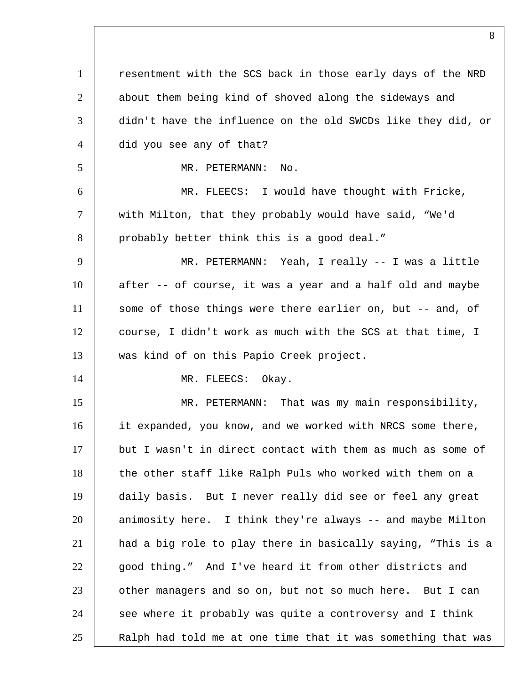1 | resentment with the SCS back in those early days of the NRD 2 about them being kind of shoved along the sideways and 3 didn't have the influence on the old SWCDs like they did, or 4 did you see any of that? 5 MR. PETERMANN: No. 6 MR. FLEECS: I would have thought with Fricke, 7 with Milton, that they probably would have said, "We'd 8 probably better think this is a good deal." 9 MR. PETERMANN: Yeah, I really -- I was a little 10 after -- of course, it was a year and a half old and maybe 11 some of those things were there earlier on, but -- and, of 12 course, I didn't work as much with the SCS at that time, I 13 was kind of on this Papio Creek project. 14 MR. FLEECS: Okay. 15 MR. PETERMANN: That was my main responsibility, 16 it expanded, you know, and we worked with NRCS some there,  $17$  but I wasn't in direct contact with them as much as some of 18 the other staff like Ralph Puls who worked with them on a 19 daily basis. But I never really did see or feel any great 20 animosity here. I think they're always -- and maybe Milton 21 had a big role to play there in basically saying, "This is a 22 good thing." And I've heard it from other districts and 23 other managers and so on, but not so much here. But I can 24 see where it probably was quite a controversy and I think 25 | Ralph had told me at one time that it was something that was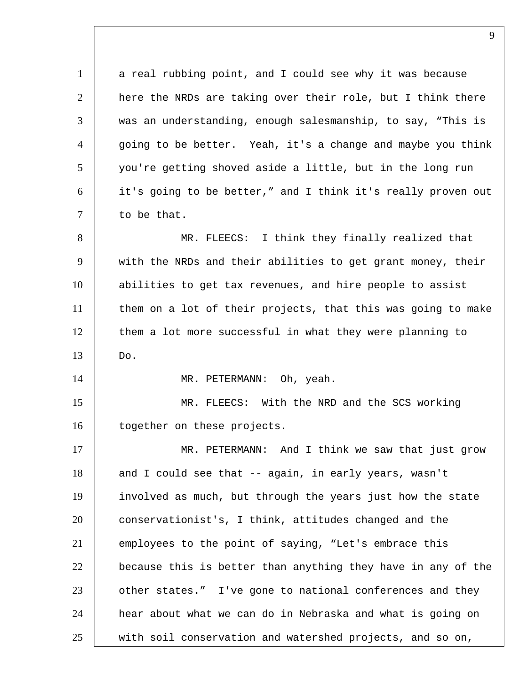1 a real rubbing point, and I could see why it was because 2 | here the NRDs are taking over their role, but I think there 3 was an understanding, enough salesmanship, to say, "This is  $4$   $|$  going to be better. Yeah, it's a change and maybe you think 5 you're getting shoved aside a little, but in the long run 6 it's going to be better," and I think it's really proven out 7 to be that. 8 MR. FLEECS: I think they finally realized that 9 with the NRDs and their abilities to get grant money, their 10 abilities to get tax revenues, and hire people to assist 11 them on a lot of their projects, that this was going to make 12 them a lot more successful in what they were planning to  $13$  Do. 14 | MR. PETERMANN: Oh, yeah. 15 MR. FLEECS: With the NRD and the SCS working 16 | together on these projects. 17 MR. PETERMANN: And I think we saw that just grow 18 and I could see that -- again, in early years, wasn't 19 involved as much, but through the years just how the state 20 conservationist's, I think, attitudes changed and the 21 employees to the point of saying, "Let's embrace this 22 because this is better than anything they have in any of the 23 other states." I've gone to national conferences and they 24 hear about what we can do in Nebraska and what is going on  $25$  with soil conservation and watershed projects, and so on,

 $\mathbf Q$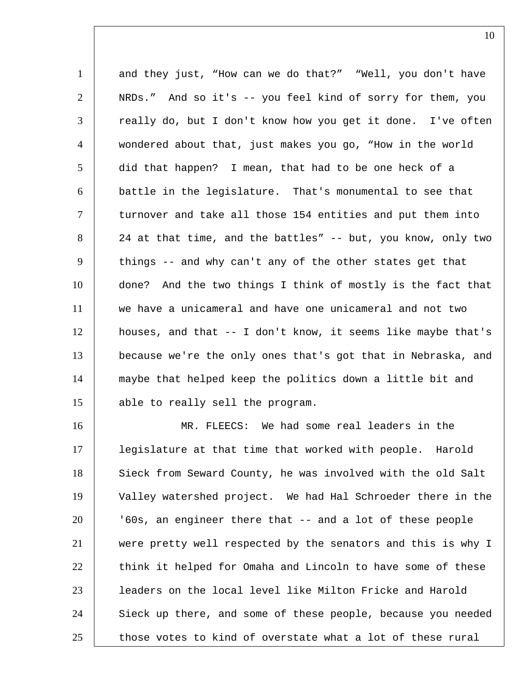1 and they just, "How can we do that?" "Well, you don't have NRDs." And so it's -- you feel kind of sorry for them, you 3 | really do, but I don't know how you get it done. I've often wondered about that, just makes you go, "How in the world did that happen? I mean, that had to be one heck of a battle in the legislature. That's monumental to see that  $\vert$  turnover and take all those 154 entities and put them into 8 24 at that time, and the battles" -- but, you know, only two things -- and why can't any of the other states get that done? And the two things I think of mostly is the fact that we have a unicameral and have one unicameral and not two houses, and that -- I don't know, it seems like maybe that's because we're the only ones that's got that in Nebraska, and maybe that helped keep the politics down a little bit and able to really sell the program.

 MR. FLEECS: We had some real leaders in the legislature at that time that worked with people. Harold 18 Sieck from Seward County, he was involved with the old Salt Valley watershed project. We had Hal Schroeder there in the '60s, an engineer there that -- and a lot of these people were pretty well respected by the senators and this is why I 22 think it helped for Omaha and Lincoln to have some of these leaders on the local level like Milton Fricke and Harold 24 Sieck up there, and some of these people, because you needed those votes to kind of overstate what a lot of these rural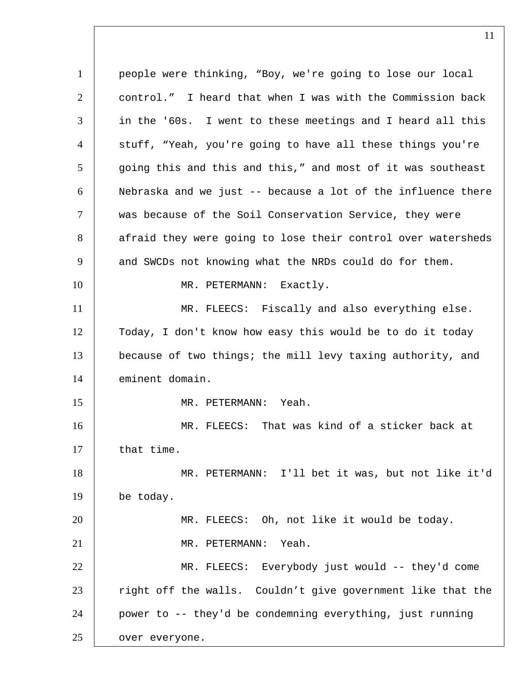people were thinking, "Boy, we're going to lose our local control." I heard that when I was with the Commission back in the '60s. I went to these meetings and I heard all this 4 | stuff, "Yeah, you're going to have all these things you're 5 going this and this and this," and most of it was southeast Nebraska and we just -- because a lot of the influence there was because of the Soil Conservation Service, they were 8 afraid they were going to lose their control over watersheds 9 | and SWCDs not knowing what the NRDs could do for them. 10 | MR. PETERMANN: Exactly. 11 MR. FLEECS: Fiscally and also everything else. Today, I don't know how easy this would be to do it today because of two things; the mill levy taxing authority, and eminent domain. MR. PETERMANN: Yeah. MR. FLEECS: That was kind of a sticker back at 17 that time. MR. PETERMANN: I'll bet it was, but not like it'd be today. MR. FLEECS: Oh, not like it would be today. MR. PETERMANN: Yeah. MR. FLEECS: Everybody just would -- they'd come 23 right off the walls. Couldn't give government like that the power to -- they'd be condemning everything, just running **over everyone.**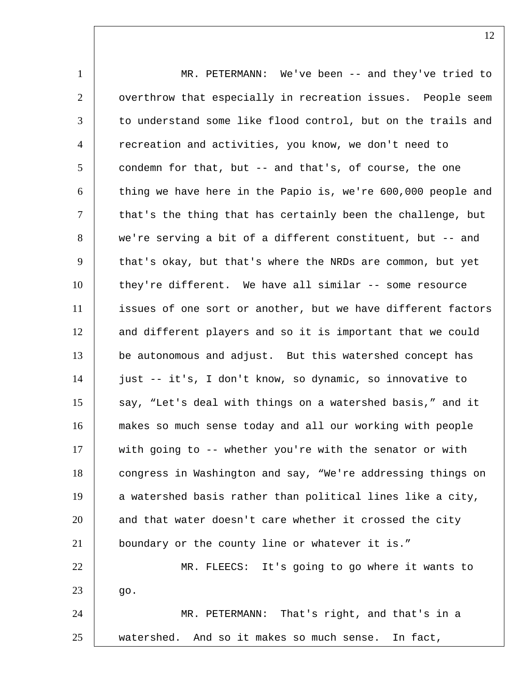1 MR. PETERMANN: We've been -- and they've tried to 2 | overthrow that especially in recreation issues. People seem 3 to understand some like flood control, but on the trails and 4 recreation and activities, you know, we don't need to 5 condemn for that, but -- and that's, of course, the one  $6$  thing we have here in the Papio is, we're  $600,000$  people and  $7$   $\vert$  that's the thing that has certainly been the challenge, but 8 we're serving a bit of a different constituent, but -- and 9 that's okay, but that's where the NRDs are common, but yet 10 they're different. We have all similar -- some resource 11 | issues of one sort or another, but we have different factors 12 and different players and so it is important that we could 13 be autonomous and adjust. But this watershed concept has 14 just -- it's, I don't know, so dynamic, so innovative to 15 say, "Let's deal with things on a watershed basis," and it 16 makes so much sense today and all our working with people 17 with going to -- whether you're with the senator or with 18 congress in Washington and say, "We're addressing things on 19 a watershed basis rather than political lines like a city, 20 and that water doesn't care whether it crossed the city 21 boundary or the county line or whatever it is." 22 MR. FLEECS: It's going to go where it wants to  $23 \quad | \quad$  go. 24 MR. PETERMANN: That's right, and that's in a 25 watershed. And so it makes so much sense. In fact,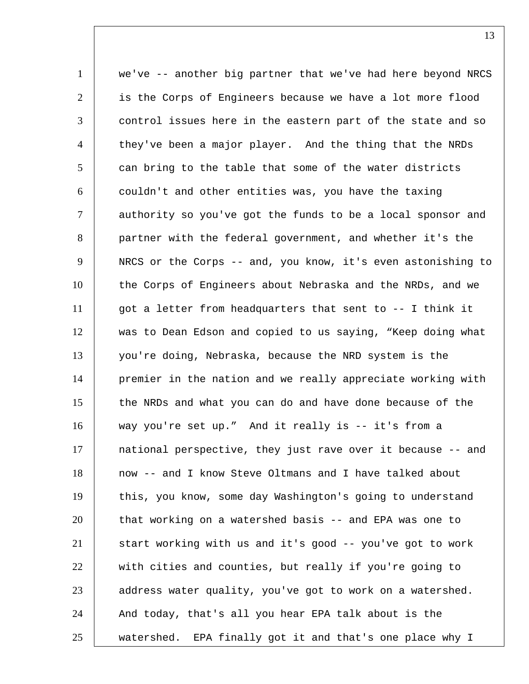1 we've -- another big partner that we've had here beyond NRCS 2 is the Corps of Engineers because we have a lot more flood 3 control issues here in the eastern part of the state and so 4 they've been a major player. And the thing that the NRDs  $5$   $\vert$  can bring to the table that some of the water districts 6 couldn't and other entities was, you have the taxing 7 authority so you've got the funds to be a local sponsor and 8 partner with the federal government, and whether it's the 9 NRCS or the Corps -- and, you know, it's even astonishing to 10 the Corps of Engineers about Nebraska and the NRDs, and we 11 got a letter from headquarters that sent to -- I think it 12 was to Dean Edson and copied to us saying, "Keep doing what 13 you're doing, Nebraska, because the NRD system is the 14 | premier in the nation and we really appreciate working with 15 the NRDs and what you can do and have done because of the 16 way you're set up." And it really is -- it's from a 17 national perspective, they just rave over it because -- and 18 now -- and I know Steve Oltmans and I have talked about 19 this, you know, some day Washington's going to understand 20 that working on a watershed basis -- and EPA was one to 21 start working with us and it's good -- you've got to work 22 with cities and counties, but really if you're going to 23 address water quality, you've got to work on a watershed. 24 | And today, that's all you hear EPA talk about is the 25 watershed. EPA finally got it and that's one place why I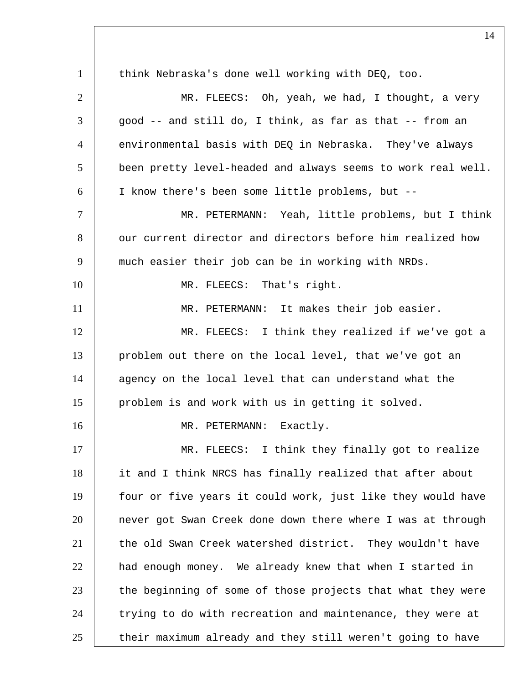1 think Nebraska's done well working with DEO, too.  $2$   $\parallel$  MR. FLEECS: Oh, yeah, we had, I thought, a very  $3$  |  $\alpha$  good -- and still do, I think, as far as that -- from an 4 environmental basis with DEQ in Nebraska. They've always 5 been pretty level-headed and always seems to work real well. 6 I know there's been some little problems, but -- 7 MR. PETERMANN: Yeah, little problems, but I think 8 our current director and directors before him realized how 9 much easier their job can be in working with NRDs. 10 MR. FLEECS: That's right. 11 | MR. PETERMANN: It makes their job easier. 12 MR. FLEECS: I think they realized if we've got a 13 problem out there on the local level, that we've got an 14 agency on the local level that can understand what the 15 problem is and work with us in getting it solved. 16 MR. PETERMANN: Exactly. 17 MR. FLEECS: I think they finally got to realize 18 it and I think NRCS has finally realized that after about 19 four or five years it could work, just like they would have 20 never got Swan Creek done down there where I was at through 21 the old Swan Creek watershed district. They wouldn't have 22 had enough money. We already knew that when I started in 23 the beginning of some of those projects that what they were 24 trying to do with recreation and maintenance, they were at  $25$  their maximum already and they still weren't going to have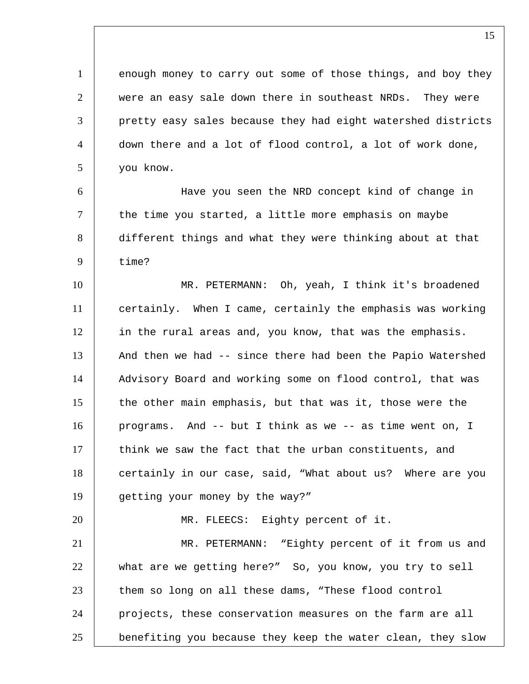1 enough money to carry out some of those things, and boy they 2 were an easy sale down there in southeast NRDs. They were 3 pretty easy sales because they had eight watershed districts 4 down there and a lot of flood control, a lot of work done, 5 you know.

 Have you seen the NRD concept kind of change in the time you started, a little more emphasis on maybe different things and what they were thinking about at that 9 time?

10 MR. PETERMANN: Oh, yeah, I think it's broadened 11 certainly. When I came, certainly the emphasis was working 12 in the rural areas and, you know, that was the emphasis. 13 And then we had -- since there had been the Papio Watershed 14 | Advisory Board and working some on flood control, that was 15 | the other main emphasis, but that was it, those were the 16 programs. And -- but I think as we -- as time went on, I 17 think we saw the fact that the urban constituents, and 18 certainly in our case, said, "What about us? Where are you 19 getting your money by the way?"

20 | MR. FLEECS: Eighty percent of it. 21 | MR. PETERMANN: "Eighty percent of it from us and 22 what are we getting here?" So, you know, you try to sell 23 them so long on all these dams, "These flood control 24 projects, these conservation measures on the farm are all 25 benefiting you because they keep the water clean, they slow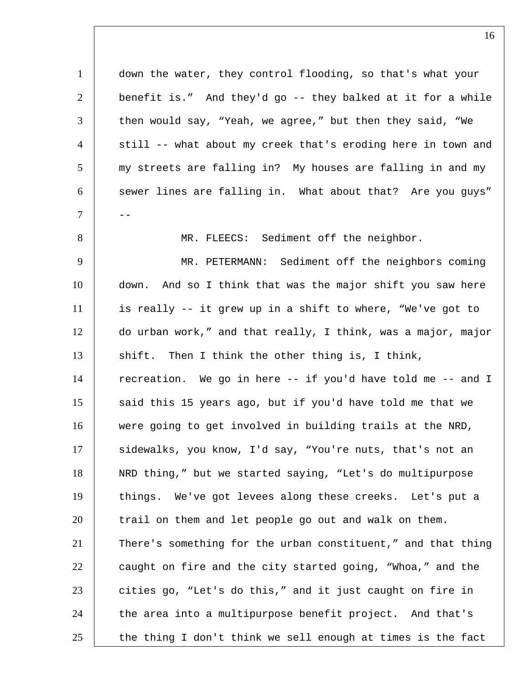down the water, they control flooding, so that's what your benefit is." And they'd go -- they balked at it for a while then would say, "Yeah, we agree," but then they said, "We 4 | still -- what about my creek that's eroding here in town and 5 my streets are falling in? My houses are falling in and my 6 sewer lines are falling in. What about that? Are you guys" -- MR. FLEECS: Sediment off the neighbor. MR. PETERMANN: Sediment off the neighbors coming down. And so I think that was the major shift you saw here is really -- it grew up in a shift to where, "We've got to do urban work," and that really, I think, was a major, major 13 shift. Then I think the other thing is, I think, 14 | recreation. We go in here -- if you'd have told me -- and I 15 said this 15 years ago, but if you'd have told me that we 16 were going to get involved in building trails at the NRD, 17 | sidewalks, you know, I'd say, "You're nuts, that's not an NRD thing," but we started saying, "Let's do multipurpose things. We've got levees along these creeks. Let's put a trail on them and let people go out and walk on them. There's something for the urban constituent," and that thing caught on fire and the city started going, "Whoa," and the cities go, "Let's do this," and it just caught on fire in 24 the area into a multipurpose benefit project. And that's the thing I don't think we sell enough at times is the fact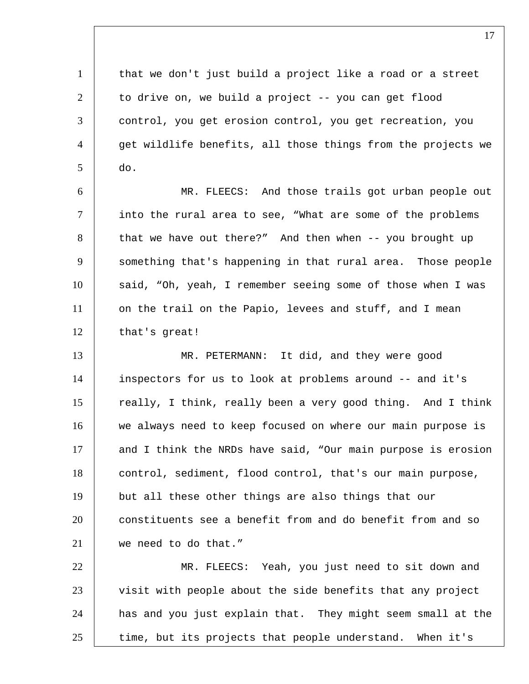1 | that we don't just build a project like a road or a street  $2$  to drive on, we build a project  $-$ - you can get flood 3 control, you get erosion control, you get recreation, you 4 | get wildlife benefits, all those things from the projects we  $5 \mid$  do.

6 MR. FLEECS: And those trails got urban people out 7 into the rural area to see, "What are some of the problems  $8$  that we have out there?" And then when  $-$ - you brought up 9 something that's happening in that rural area. Those people 10 said, "Oh, yeah, I remember seeing some of those when I was 11 on the trail on the Papio, levees and stuff, and I mean 12 that's great!

13 MR. PETERMANN: It did, and they were good 14 inspectors for us to look at problems around -- and it's 15 really, I think, really been a very good thing. And I think 16 we always need to keep focused on where our main purpose is 17 and I think the NRDs have said, "Our main purpose is erosion 18 control, sediment, flood control, that's our main purpose, 19 but all these other things are also things that our 20 constituents see a benefit from and do benefit from and so 21 we need to do that."

 MR. FLEECS: Yeah, you just need to sit down and 23 visit with people about the side benefits that any project has and you just explain that. They might seem small at the time, but its projects that people understand. When it's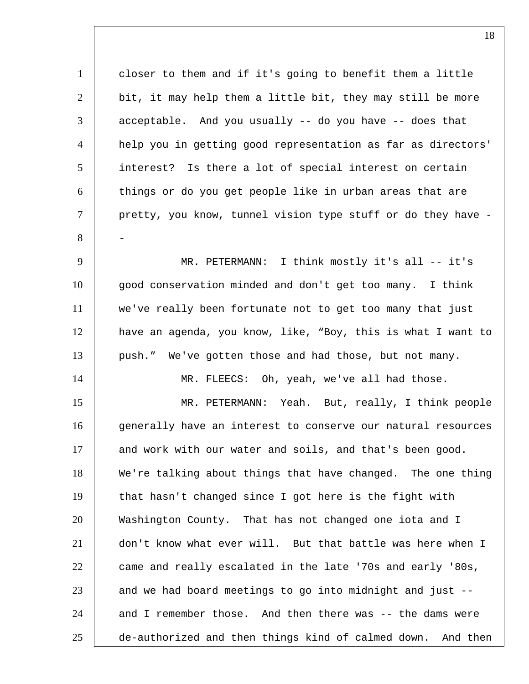closer to them and if it's going to benefit them a little bit, it may help them a little bit, they may still be more acceptable. And you usually -- do you have -- does that help you in getting good representation as far as directors' interest? Is there a lot of special interest on certain 6 things or do you get people like in urban areas that are pretty, you know, tunnel vision type stuff or do they have - 8 - MR. PETERMANN: I think mostly it's all -- it's good conservation minded and don't get too many. I think we've really been fortunate not to get too many that just have an agenda, you know, like, "Boy, this is what I want to 13 push." We've gotten those and had those, but not many. 14 | MR. FLEECS: Oh, yeah, we've all had those. MR. PETERMANN: Yeah. But, really, I think people 16 generally have an interest to conserve our natural resources 17 and work with our water and soils, and that's been good. 18 | We're talking about things that have changed. The one thing that hasn't changed since I got here is the fight with Washington County. That has not changed one iota and I don't know what ever will. But that battle was here when I 22 came and really escalated in the late '70s and early '80s, and we had board meetings to go into midnight and just  $-$  and I remember those. And then there was  $-$  the dams were de-authorized and then things kind of calmed down. And then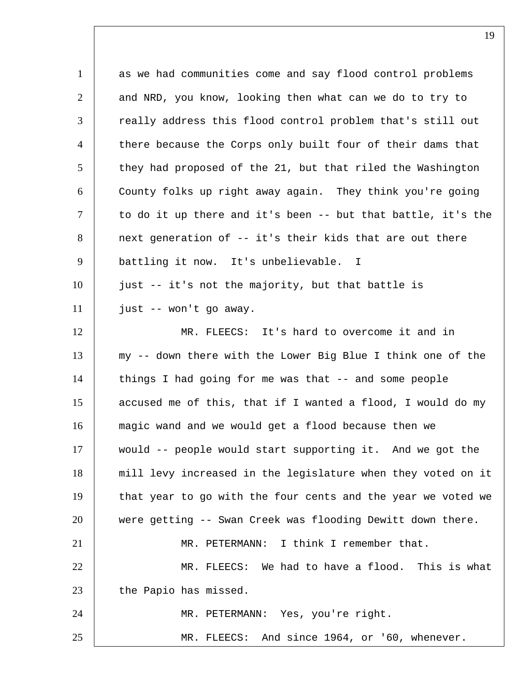1 as we had communities come and say flood control problems 2 and NRD, you know, looking then what can we do to try to 3 | really address this flood control problem that's still out 4 | there because the Corps only built four of their dams that they had proposed of the 21, but that riled the Washington County folks up right away again. They think you're going  $\vert$  to do it up there and it's been -- but that battle, it's the next generation of -- it's their kids that are out there battling it now. It's unbelievable. I just -- it's not the majority, but that battle is just -- won't go away. 12 MR. FLEECS: It's hard to overcome it and in my -- down there with the Lower Big Blue I think one of the things I had going for me was that -- and some people accused me of this, that if I wanted a flood, I would do my magic wand and we would get a flood because then we would -- people would start supporting it. And we got the mill levy increased in the legislature when they voted on it 19 that year to go with the four cents and the year we voted we were getting -- Swan Creek was flooding Dewitt down there. MR. PETERMANN: I think I remember that. MR. FLEECS: We had to have a flood. This is what 23 the Papio has missed. MR. PETERMANN: Yes, you're right. MR. FLEECS: And since 1964, or '60, whenever.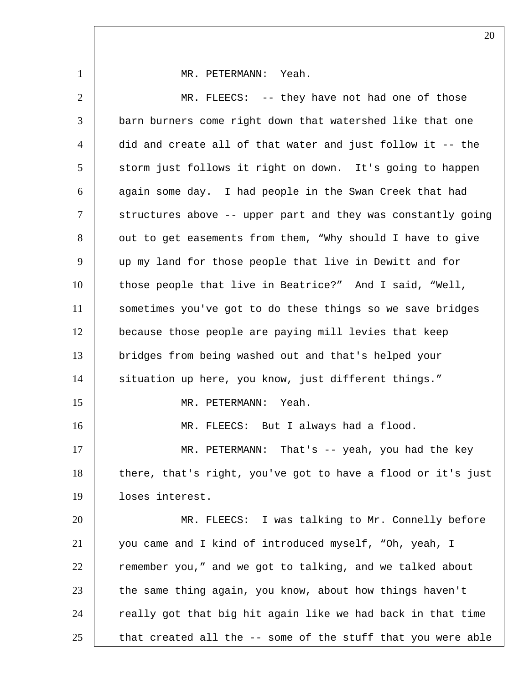1 MR. PETERMANN: Yeah. 2 MR. FLEECS: -- they have not had one of those 3 barn burners come right down that watershed like that one 4 did and create all of that water and just follow it -- the 5 | storm just follows it right on down. It's going to happen 6 again some day. I had people in the Swan Creek that had 7 | structures above -- upper part and they was constantly going 8 out to get easements from them, "Why should I have to give 9 up my land for those people that live in Dewitt and for 10 those people that live in Beatrice?" And I said, "Well, 11 sometimes you've got to do these things so we save bridges 12 because those people are paying mill levies that keep 13 bridges from being washed out and that's helped your 14 | situation up here, you know, just different things." 15 MR. PETERMANN: Yeah. 16 | MR. FLEECS: But I always had a flood. 17 MR. PETERMANN: That's -- yeah, you had the key 18 | there, that's right, you've got to have a flood or it's just 19 loses interest. 20 MR. FLEECS: I was talking to Mr. Connelly before 21 you came and I kind of introduced myself, "Oh, yeah, I 22 T remember you," and we got to talking, and we talked about 23 the same thing again, you know, about how things haven't 24 | really got that big hit again like we had back in that time  $25$  that created all the  $-$  some of the stuff that you were able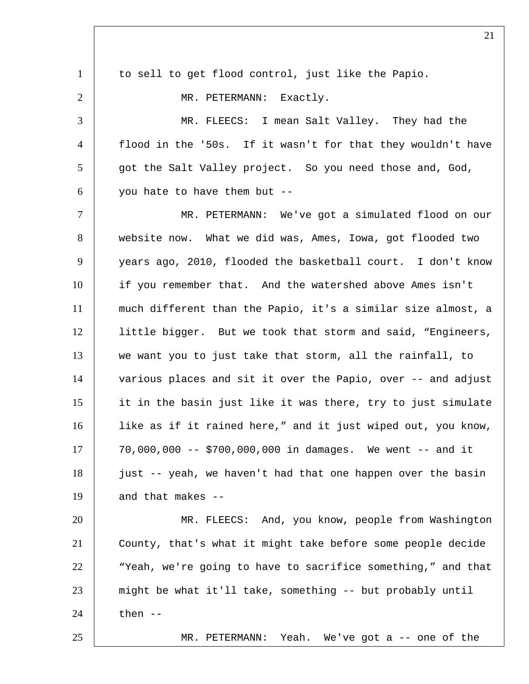| $\mathbf{1}$   | to sell to get flood control, just like the Papio.           |
|----------------|--------------------------------------------------------------|
| 2              | MR. PETERMANN: Exactly.                                      |
| 3              | MR. FLEECS: I mean Salt Valley. They had the                 |
| $\overline{4}$ | flood in the '50s. If it wasn't for that they wouldn't have  |
| 5              | got the Salt Valley project. So you need those and, God,     |
| 6              | you hate to have them but --                                 |
| $\tau$         | MR. PETERMANN: We've got a simulated flood on our            |
| 8              | website now. What we did was, Ames, Iowa, got flooded two    |
| 9              | years ago, 2010, flooded the basketball court. I don't know  |
| 10             | if you remember that. And the watershed above Ames isn't     |
| 11             | much different than the Papio, it's a similar size almost, a |
| 12             | little bigger. But we took that storm and said, "Engineers,  |
| 13             | we want you to just take that storm, all the rainfall, to    |
| 14             | various places and sit it over the Papio, over -- and adjust |
| 15             | it in the basin just like it was there, try to just simulate |
| 16             | like as if it rained here," and it just wiped out, you know, |
| 17             | 70,000,000 -- \$700,000,000 in damages. We went -- and it    |
| 18             | just -- yeah, we haven't had that one happen over the basin  |
| 19             | and that makes --                                            |
| 20             | MR. FLEECS: And, you know, people from Washington            |
| 21             | County, that's what it might take before some people decide  |
| 22             | "Yeah, we're going to have to sacrifice something," and that |
| 23             | might be what it'll take, something -- but probably until    |
| 24             | then $--$                                                    |
| 25             | Yeah. We've got a -- one of the<br>MR. PETERMANN:            |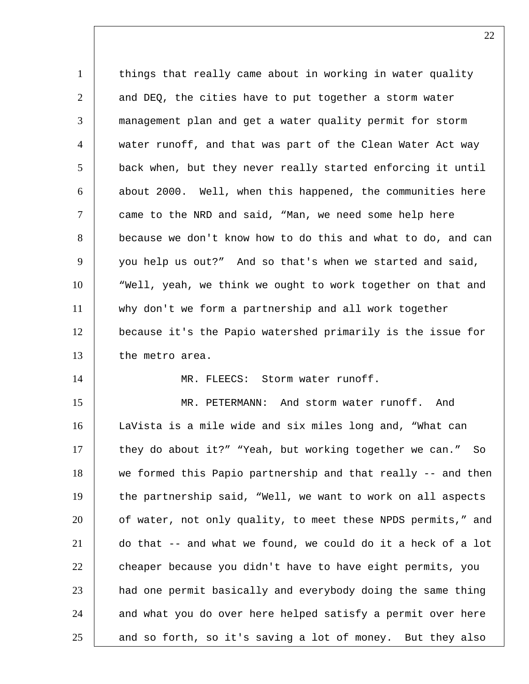1 | things that really came about in working in water quality 2 and DEQ, the cities have to put together a storm water 3 management plan and get a water quality permit for storm 4 water runoff, and that was part of the Clean Water Act way 5 back when, but they never really started enforcing it until  $6$  about 2000. Well, when this happened, the communities here 7 came to the NRD and said, "Man, we need some help here 8 because we don't know how to do this and what to do, and can 9 you help us out?" And so that's when we started and said, 10 "Well, yeah, we think we ought to work together on that and 11 why don't we form a partnership and all work together 12 because it's the Papio watershed primarily is the issue for 13 the metro area. 14 | MR. FLEECS: Storm water runoff. 15 MR. PETERMANN: And storm water runoff. And 16 LaVista is a mile wide and six miles long and, "What can 17 they do about it?" "Yeah, but working together we can." So 18 we formed this Papio partnership and that really -- and then 19 the partnership said, "Well, we want to work on all aspects 20 of water, not only quality, to meet these NPDS permits," and 21 do that -- and what we found, we could do it a heck of a lot

22 cheaper because you didn't have to have eight permits, you 23 had one permit basically and everybody doing the same thing 24 and what you do over here helped satisfy a permit over here  $25$  and so forth, so it's saving a lot of money. But they also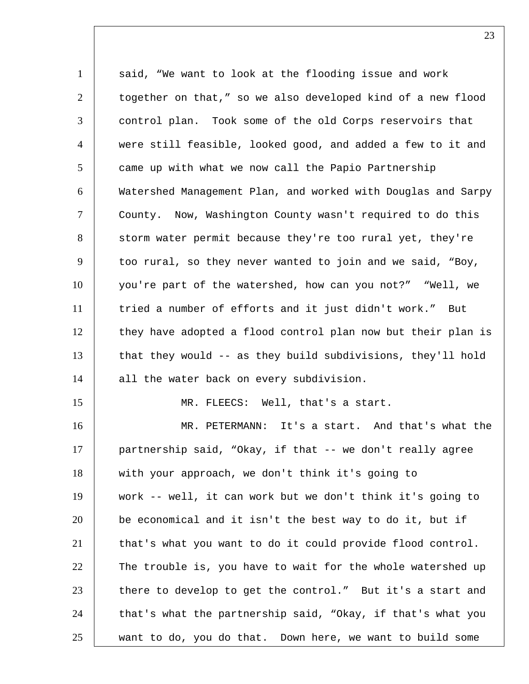1 said, "We want to look at the flooding issue and work 2 together on that," so we also developed kind of a new flood 3 control plan. Took some of the old Corps reservoirs that 4 were still feasible, looked good, and added a few to it and 5 came up with what we now call the Papio Partnership 6 Watershed Management Plan, and worked with Douglas and Sarpy 7 County. Now, Washington County wasn't required to do this 8 storm water permit because they're too rural yet, they're 9 too rural, so they never wanted to join and we said, "Boy, 10 you're part of the watershed, how can you not?" "Well, we 11 tried a number of efforts and it just didn't work." But 12 they have adopted a flood control plan now but their plan is 13 that they would -- as they build subdivisions, they'll hold 14 all the water back on every subdivision. 15 MR. FLEECS: Well, that's a start. 16 MR. PETERMANN: It's a start. And that's what the 17 partnership said, "Okay, if that -- we don't really agree 18 with your approach, we don't think it's going to 19 work -- well, it can work but we don't think it's going to 20 be economical and it isn't the best way to do it, but if 21 that's what you want to do it could provide flood control. 22 The trouble is, you have to wait for the whole watershed up  $23$  there to develop to get the control." But it's a start and

24 that's what the partnership said, "Okay, if that's what you

25 want to do, you do that. Down here, we want to build some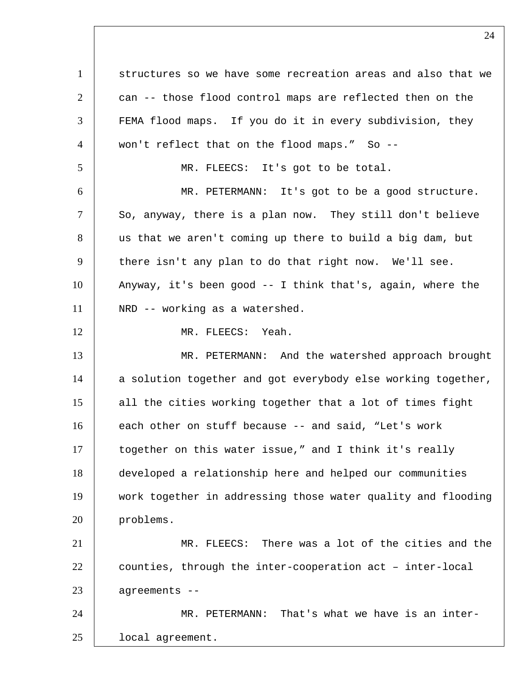1 structures so we have some recreation areas and also that we 2 can -- those flood control maps are reflected then on the FEMA flood maps. If you do it in every subdivision, they won't reflect that on the flood maps." So -- MR. FLEECS: It's got to be total. MR. PETERMANN: It's got to be a good structure.  $\vert$  So, anyway, there is a plan now. They still don't believe 8 us that we aren't coming up there to build a big dam, but there isn't any plan to do that right now. We'll see. Anyway, it's been good -- I think that's, again, where the 11 | NRD -- working as a watershed. 12 MR. FLEECS: Yeah. 13 MR. PETERMANN: And the watershed approach brought 14 a solution together and got everybody else working together, 15 all the cities working together that a lot of times fight 16 each other on stuff because -- and said, "Let's work 17 | together on this water issue," and I think it's really developed a relationship here and helped our communities work together in addressing those water quality and flooding problems. MR. FLEECS: There was a lot of the cities and the counties, through the inter-cooperation act – inter-local agreements -- MR. PETERMANN: That's what we have is an inter-local agreement.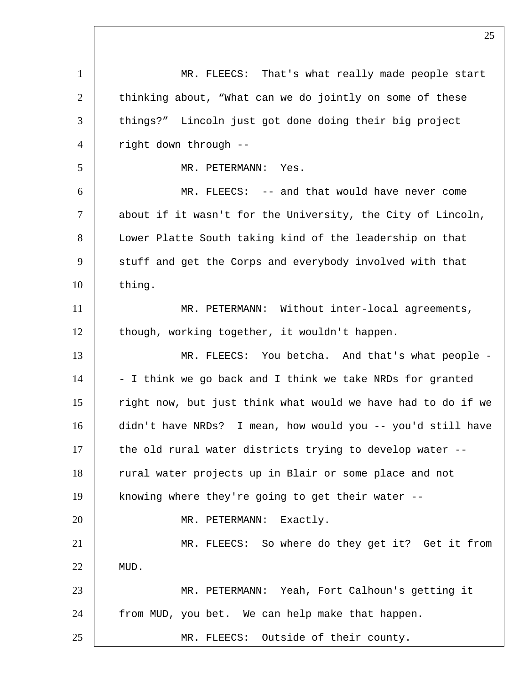1 | MR. FLEECS: That's what really made people start 2 thinking about, "What can we do jointly on some of these 3 | things?" Lincoln just got done doing their big project 4 right down through -- 5 MR. PETERMANN: Yes. 6 MR. FLEECS: -- and that would have never come  $7$  about if it wasn't for the University, the City of Lincoln, 8 Lower Platte South taking kind of the leadership on that 9 stuff and get the Corps and everybody involved with that 10 thing. 11 | MR. PETERMANN: Without inter-local agreements, 12 though, working together, it wouldn't happen. 13 MR. FLEECS: You betcha. And that's what people - $14$  - I think we go back and I think we take NRDs for granted 15 | right now, but just think what would we have had to do if we 16 didn't have NRDs? I mean, how would you -- you'd still have 17 the old rural water districts trying to develop water --18 | rural water projects up in Blair or some place and not 19 knowing where they're going to get their water -- 20 | MR. PETERMANN: Exactly. 21 | MR. FLEECS: So where do they get it? Get it from 22 | MUD. 23 MR. PETERMANN: Yeah, Fort Calhoun's getting it 24 from MUD, you bet. We can help make that happen. 25 MR. FLEECS: Outside of their county.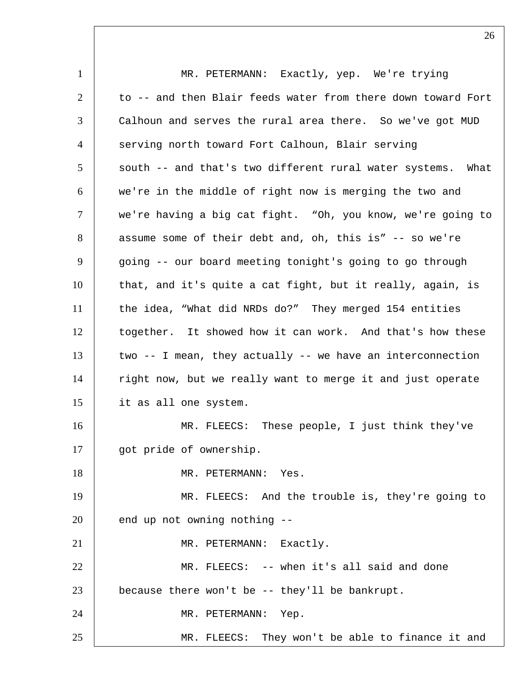1 MR. PETERMANN: Exactly, yep. We're trying  $2$   $\pm$  to  $-$  and then Blair feeds water from there down toward Fort 3 Calhoun and serves the rural area there. So we've got MUD 4 serving north toward Fort Calhoun, Blair serving 5 south -- and that's two different rural water systems. What 6 we're in the middle of right now is merging the two and 7 | we're having a big cat fight. "Oh, you know, we're going to 8 assume some of their debt and, oh, this is" -- so we're 9 going -- our board meeting tonight's going to go through 10 | that, and it's quite a cat fight, but it really, again, is 11 | the idea, "What did NRDs do?" They merged 154 entities 12 together. It showed how it can work. And that's how these  $13$  two  $-$  I mean, they actually  $-$  we have an interconnection 14 | right now, but we really want to merge it and just operate 15 it as all one system. 16 MR. FLEECS: These people, I just think they've 17 | got pride of ownership. 18 MR. PETERMANN: Yes. 19 MR. FLEECS: And the trouble is, they're going to  $20$   $\vert$  end up not owning nothing  $-$ 21 MR. PETERMANN: Exactly. 22 MR. FLEECS: -- when it's all said and done 23 because there won't be -- they'll be bankrupt. 24 | MR. PETERMANN: Yep. 25 MR. FLEECS: They won't be able to finance it and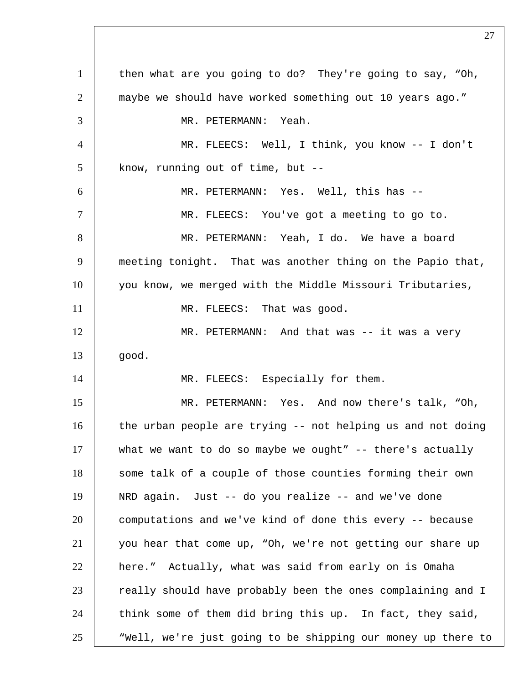1 | then what are you going to do? They're going to say, "Oh, maybe we should have worked something out 10 years ago." MR. PETERMANN: Yeah. MR. FLEECS: Well, I think, you know -- I don't know, running out of time, but  $-$  MR. PETERMANN: Yes. Well, this has -- MR. FLEECS: You've got a meeting to go to. 8 MR. PETERMANN: Yeah, I do. We have a board meeting tonight. That was another thing on the Papio that, you know, we merged with the Middle Missouri Tributaries, 11 MR. FLEECS: That was good. 12 MR. PETERMANN: And that was -- it was a very qood. 14 | MR. FLEECS: Especially for them. MR. PETERMANN: Yes. And now there's talk, "Oh, 16 the urban people are trying -- not helping us and not doing what we want to do so maybe we ought" -- there's actually 18 | some talk of a couple of those counties forming their own NRD again. Just -- do you realize -- and we've done computations and we've kind of done this every -- because you hear that come up, "Oh, we're not getting our share up here." Actually, what was said from early on is Omaha 23 really should have probably been the ones complaining and I think some of them did bring this up. In fact, they said, 25 Well, we're just going to be shipping our money up there to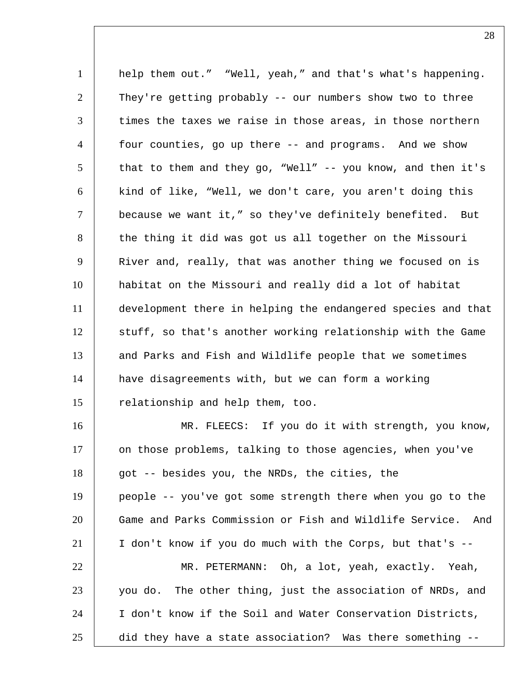1 | help them out." "Well, yeah," and that's what's happening. They're getting probably -- our numbers show two to three  $\vert$  times the taxes we raise in those areas, in those northern four counties, go up there -- and programs. And we show 5 | that to them and they go, "Well" -- you know, and then it's kind of like, "Well, we don't care, you aren't doing this because we want it," so they've definitely benefited. But 8 the thing it did was got us all together on the Missouri River and, really, that was another thing we focused on is habitat on the Missouri and really did a lot of habitat development there in helping the endangered species and that 12 | stuff, so that's another working relationship with the Game 13 and Parks and Fish and Wildlife people that we sometimes have disagreements with, but we can form a working 15 | relationship and help them, too. MR. FLEECS: If you do it with strength, you know,

17 on those problems, talking to those agencies, when you've 18 got -- besides you, the NRDs, the cities, the people -- you've got some strength there when you go to the Game and Parks Commission or Fish and Wildlife Service. And I don't know if you do much with the Corps, but that's -- MR. PETERMANN: Oh, a lot, yeah, exactly. Yeah, 23 you do. The other thing, just the association of NRDs, and 24 | I don't know if the Soil and Water Conservation Districts, did they have a state association? Was there something --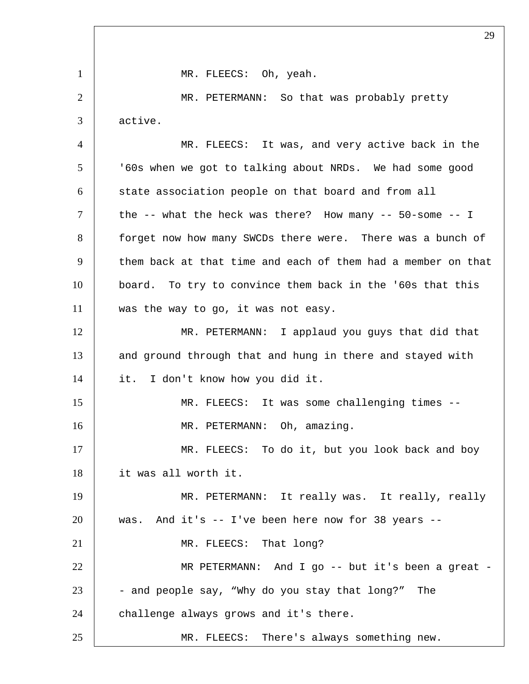1 | MR. FLEECS: Oh, yeah. MR. PETERMANN: So that was probably pretty active. MR. FLEECS: It was, and very active back in the '60s when we got to talking about NRDs. We had some good 6 state association people on that board and from all  $\vert$  the -- what the heck was there? How many --  $50$ -some -- I 8 forget now how many SWCDs there were. There was a bunch of 9 them back at that time and each of them had a member on that board. To try to convince them back in the '60s that this 11 was the way to go, it was not easy. MR. PETERMANN: I applaud you guys that did that 13 and ground through that and hung in there and stayed with it. I don't know how you did it. MR. FLEECS: It was some challenging times -- 16 | MR. PETERMANN: Oh, amazing. 17 MR. FLEECS: To do it, but you look back and boy it was all worth it. MR. PETERMANN: It really was. It really, really was. And it's -- I've been here now for 38 years -- 21 MR. FLEECS: That long? MR PETERMANN: And I go -- but it's been a great - - and people say, "Why do you stay that long?" The 24 challenge always grows and it's there. MR. FLEECS: There's always something new.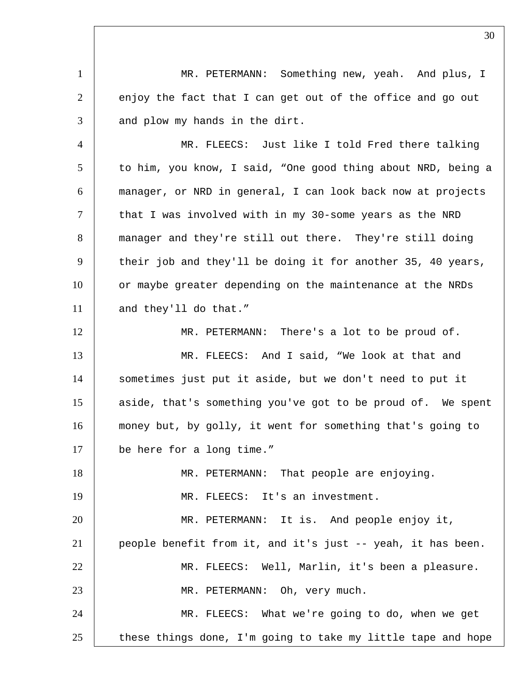MR. PETERMANN: Something new, yeah. And plus, I 2 enjoy the fact that I can get out of the office and go out and plow my hands in the dirt. MR. FLEECS: Just like I told Fred there talking 5 to him, you know, I said, "One good thing about NRD, being a manager, or NRD in general, I can look back now at projects 7 | that I was involved with in my 30-some years as the NRD manager and they're still out there. They're still doing 9 their job and they'll be doing it for another 35, 40 years, 10 or maybe greater depending on the maintenance at the NRDs 11 and they'll do that." MR. PETERMANN: There's a lot to be proud of. 13 MR. FLEECS: And I said, "We look at that and sometimes just put it aside, but we don't need to put it 15 aside, that's something you've got to be proud of. We spent money but, by golly, it went for something that's going to be here for a long time." MR. PETERMANN: That people are enjoying. MR. FLEECS: It's an investment. MR. PETERMANN: It is. And people enjoy it, people benefit from it, and it's just -- yeah, it has been. MR. FLEECS: Well, Marlin, it's been a pleasure. 23 | MR. PETERMANN: Oh, very much. MR. FLEECS: What we're going to do, when we get these things done, I'm going to take my little tape and hope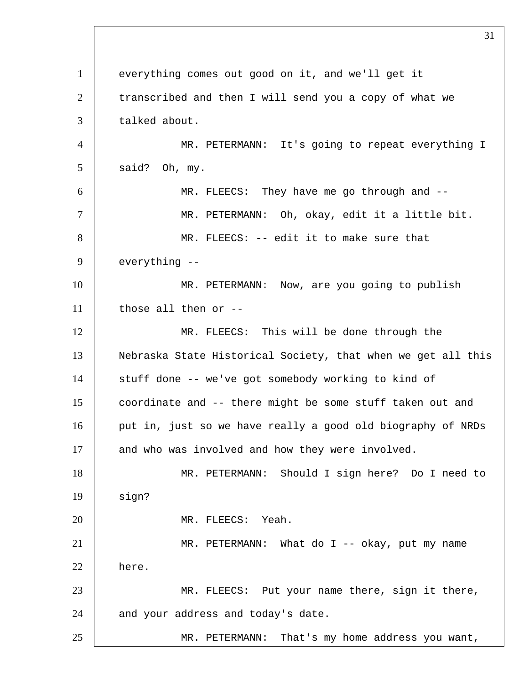everything comes out good on it, and we'll get it 2 transcribed and then I will send you a copy of what we 3 talked about. MR. PETERMANN: It's going to repeat everything I  $5 \mid$  said? Oh, my. MR. FLEECS: They have me go through and -- 7 | MR. PETERMANN: Oh, okay, edit it a little bit. MR. FLEECS: -- edit it to make sure that everything -- 10 | MR. PETERMANN: Now, are you going to publish those all then or  $-$  MR. FLEECS: This will be done through the Nebraska State Historical Society, that when we get all this 14 | stuff done -- we've got somebody working to kind of coordinate and -- there might be some stuff taken out and 16 put in, just so we have really a good old biography of NRDs 17 and who was involved and how they were involved. MR. PETERMANN: Should I sign here? Do I need to sign? MR. FLEECS: Yeah. MR. PETERMANN: What do I -- okay, put my name here. MR. FLEECS: Put your name there, sign it there, 24 and your address and today's date. 25 MR. PETERMANN: That's my home address you want,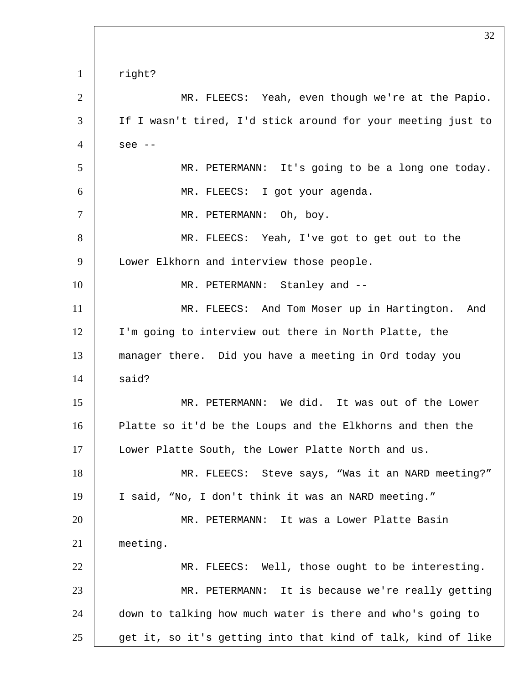right? MR. FLEECS: Yeah, even though we're at the Papio. If I wasn't tired, I'd stick around for your meeting just to see -- 5 MR. PETERMANN: It's going to be a long one today. MR. FLEECS: I got your agenda. 7 | MR. PETERMANN: Oh, boy. 8 | MR. FLEECS: Yeah, I've got to get out to the 9 | Lower Elkhorn and interview those people. 10 | MR. PETERMANN: Stanley and --11 | MR. FLEECS: And Tom Moser up in Hartington. And I'm going to interview out there in North Platte, the manager there. Did you have a meeting in Ord today you said? MR. PETERMANN: We did. It was out of the Lower Platte so it'd be the Loups and the Elkhorns and then the Lower Platte South, the Lower Platte North and us. 18 | MR. FLEECS: Steve says, "Was it an NARD meeting?" I said, "No, I don't think it was an NARD meeting." MR. PETERMANN: It was a Lower Platte Basin meeting. 22 | MR. FLEECS: Well, those ought to be interesting. MR. PETERMANN: It is because we're really getting down to talking how much water is there and who's going to get it, so it's getting into that kind of talk, kind of like